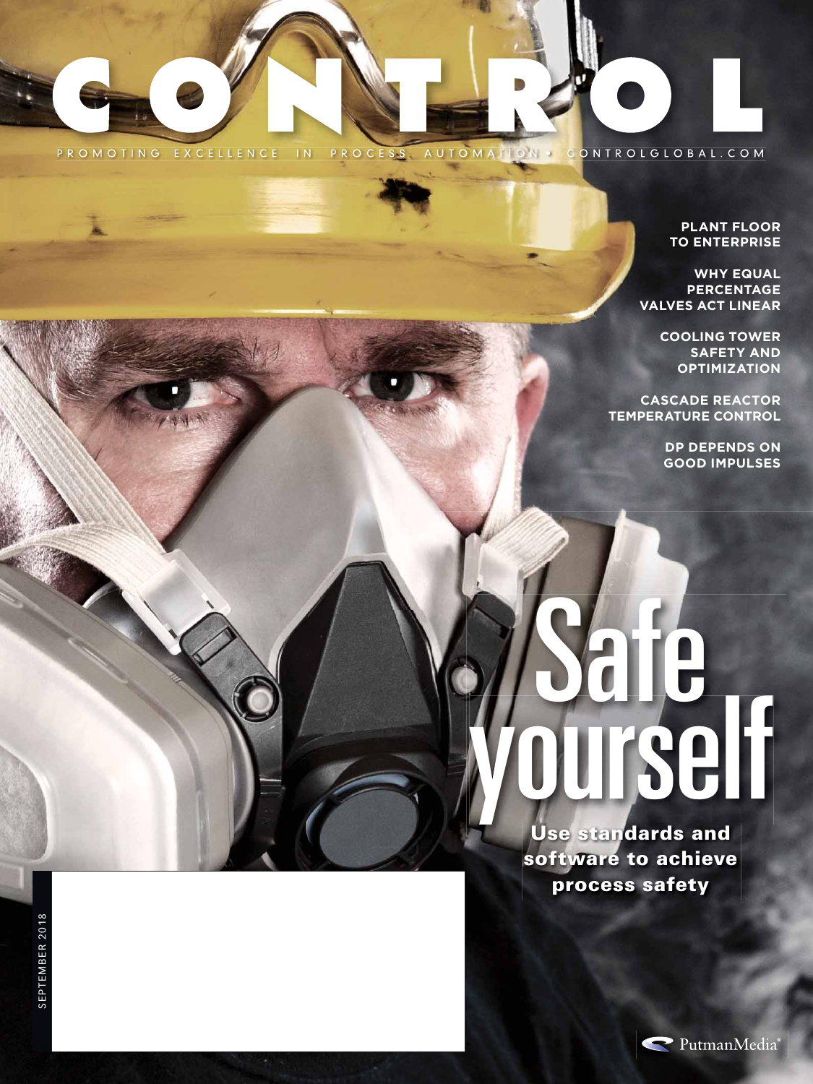

#### **PLANT FLOOR TO ENTERPRISE**

**WHY EQUAL PERCENTAGE VALVES ACT LINEAR**

> **COOLING TOWER SAFETY AND OPTIMIZATION**

**CASCADE REACTOR TEMPERATURE CONTROL** 

> **DP DEPENDS ON GOOD IMPULSES**

Safe yourself

**Use standards and software to achieve process safety**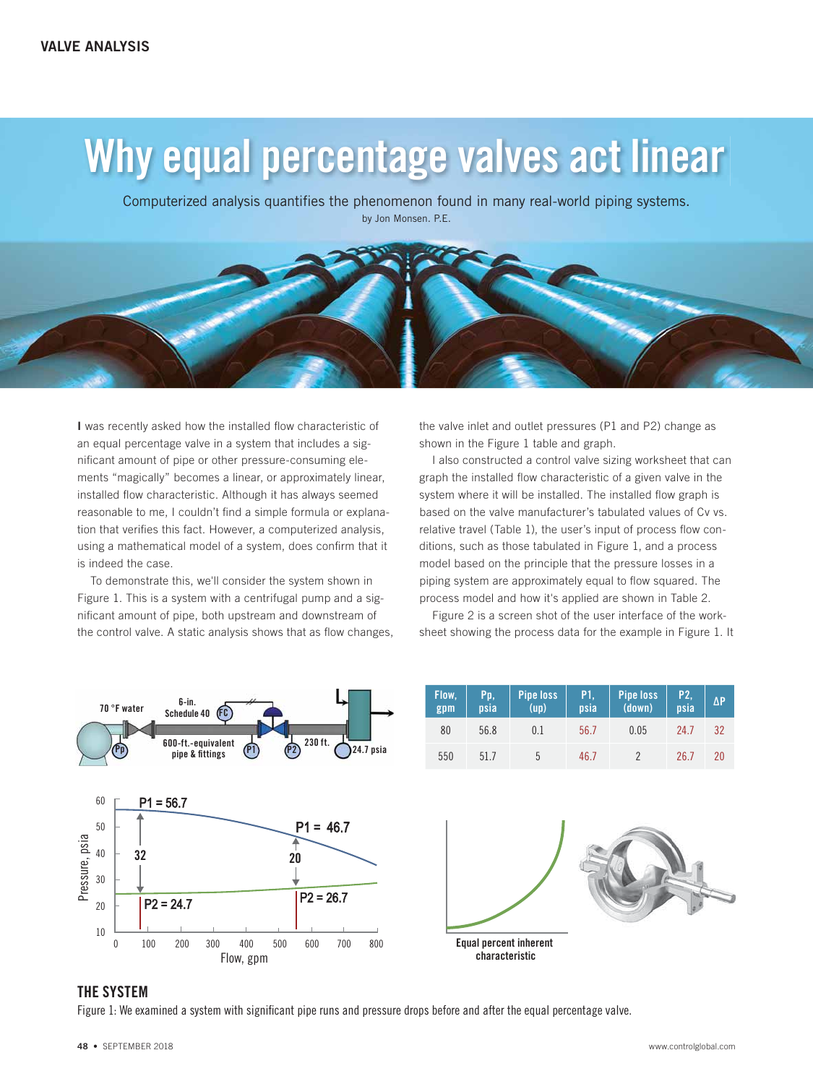# Why equal percentage valves act linear

Computerized analysis quantifies the phenomenon found in many real-world piping systems. by Jon Monsen. P.E.



**I** was recently asked how the installed flow characteristic of an equal percentage valve in a system that includes a significant amount of pipe or other pressure-consuming elements "magically" becomes a linear, or approximately linear, installed flow characteristic. Although it has always seemed reasonable to me, I couldn't find a simple formula or explanation that verifies this fact. However, a computerized analysis, using a mathematical model of a system, does confirm that it is indeed the case.

To demonstrate this, we'll consider the system shown in Figure 1. This is a system with a centrifugal pump and a significant amount of pipe, both upstream and downstream of the control valve. A static analysis shows that as flow changes, the valve inlet and outlet pressures (P1 and P2) change as shown in the Figure 1 table and graph.

I also constructed a control valve sizing worksheet that can graph the installed flow characteristic of a given valve in the system where it will be installed. The installed flow graph is based on the valve manufacturer's tabulated values of Cv vs. relative travel (Table 1), the user's input of process flow conditions, such as those tabulated in Figure 1, and a process model based on the principle that the pressure losses in a piping system are approximately equal to flow squared. The process model and how it's applied are shown in Table 2.

Figure 2 is a screen shot of the user interface of the worksheet showing the process data for the example in Figure 1. It



#### THE SYSTEM

Figure 1: We examined a system with significant pipe runs and pressure drops before and after the equal percentage valve.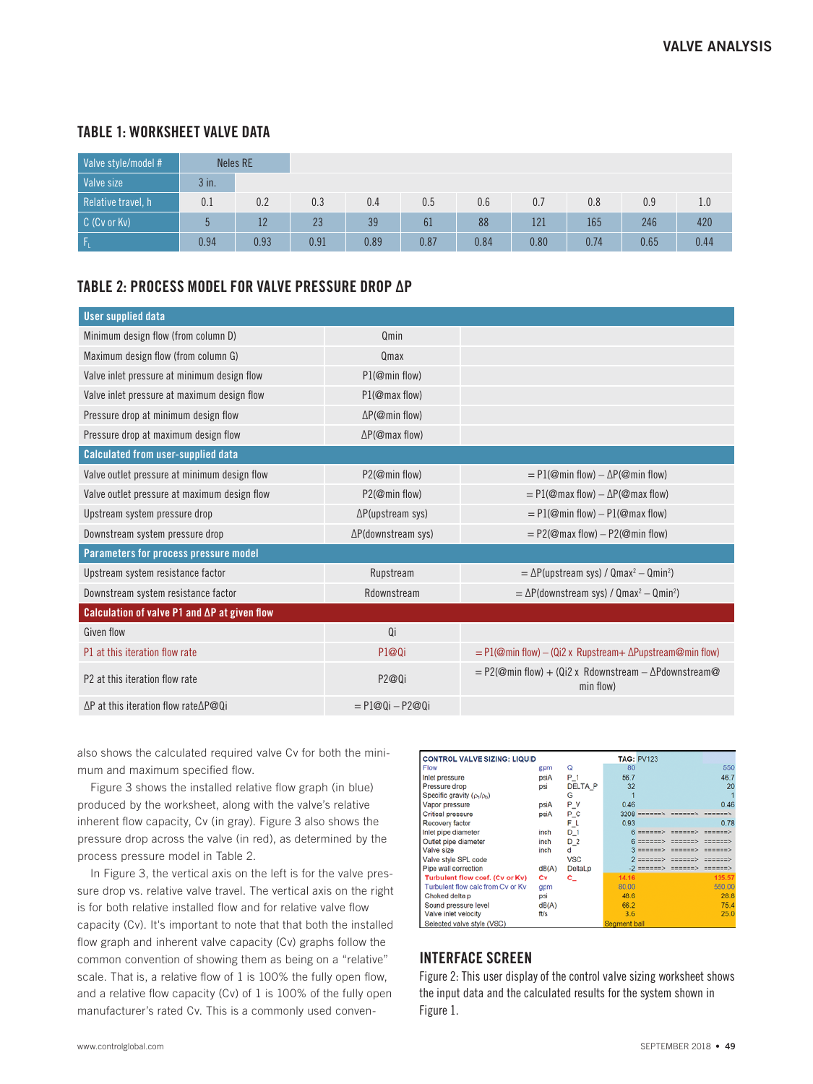## TABLE 1: WORKSHEET VALVE DATA

| Valve style/model # |         | <b>Neles RE</b> |      |      |      |      |      |      |      |      |
|---------------------|---------|-----------------|------|------|------|------|------|------|------|------|
| <b>Valve size</b>   | $3$ in. |                 |      |      |      |      |      |      |      |      |
| Relative travel, h  | 0.1     | 0.2             | 0.3  | 0.4  | 0.5  | 0.6  | 0.7  | 0.8  | 0.9  | 1.0  |
| C (Cv or Kv)        |         | 12              | 23   | 39   | 61   | 88   | 121  | 165  | 246  | 420  |
| ۱F                  | 0.94    | 0.93            | 0.91 | 0.89 | 0.87 | 0.84 | 0.80 | 0.74 | 0.65 | 0.44 |

### TABLE 2: PROCESS MODEL FOR VALVE PRESSURE DROP ΔP

| <b>User supplied data</b>                              |                                  |                                                                             |  |  |  |
|--------------------------------------------------------|----------------------------------|-----------------------------------------------------------------------------|--|--|--|
| Minimum design flow (from column D)                    | Omin                             |                                                                             |  |  |  |
| Maximum design flow (from column G)                    | Qmax                             |                                                                             |  |  |  |
| Valve inlet pressure at minimum design flow            | P1(@min flow)                    |                                                                             |  |  |  |
| Valve inlet pressure at maximum design flow            | P1(@max flow)                    |                                                                             |  |  |  |
| Pressure drop at minimum design flow                   | $\Delta P(\mathcal{Q}$ min flow) |                                                                             |  |  |  |
| Pressure drop at maximum design flow                   | $\Delta P(\mathcal{Q}$ max flow) |                                                                             |  |  |  |
| <b>Calculated from user-supplied data</b>              |                                  |                                                                             |  |  |  |
| Valve outlet pressure at minimum design flow           | P2(@min flow)                    | $=$ P1(@min flow) – $\Delta P$ (@min flow)                                  |  |  |  |
| Valve outlet pressure at maximum design flow           | P2(@min flow)                    | $=$ P1(@max flow) $-\Delta P$ (@max flow)                                   |  |  |  |
| Upstream system pressure drop                          | $\Delta P$ (upstream sys)        | $=$ P1(@min flow) – P1(@max flow)                                           |  |  |  |
| Downstream system pressure drop                        | ∆P(downstream sys)               | $=$ P2(@max flow) – P2(@min flow)                                           |  |  |  |
| Parameters for process pressure model                  |                                  |                                                                             |  |  |  |
| Upstream system resistance factor                      | Rupstream                        | $=\Delta P$ (upstream sys) / Qmax <sup>2</sup> - Qmin <sup>2</sup> )        |  |  |  |
| Downstream system resistance factor                    | Rdownstream                      | $= \Delta P$ (downstream sys) / Qmax <sup>2</sup> - Qmin <sup>2</sup> )     |  |  |  |
| Calculation of valve $P1$ and $\Delta P$ at given flow |                                  |                                                                             |  |  |  |
| Given flow                                             | 0i                               |                                                                             |  |  |  |
| P1 at this iteration flow rate                         | P1@0i                            | $=$ P1(@min flow) – (Qi2 x Rupstream+ $\Delta$ Pupstream@min flow)          |  |  |  |
| P2 at this iteration flow rate                         | P2@0i                            | $=$ P2(@min flow) + (Qi2 x Rdownstream – $\Delta$ Pdownstream@<br>min flow) |  |  |  |
| $\Delta P$ at this iteration flow rate $\Delta P@Q$ i  | $= P1@0i - P2@0i$                |                                                                             |  |  |  |

also shows the calculated required valve Cv for both the minimum and maximum specified flow.

Figure 3 shows the installed relative flow graph (in blue) produced by the worksheet, along with the valve's relative inherent flow capacity, Cv (in gray). Figure 3 also shows the pressure drop across the valve (in red), as determined by the process pressure model in Table 2.

In Figure 3, the vertical axis on the left is for the valve pressure drop vs. relative valve travel. The vertical axis on the right is for both relative installed flow and for relative valve flow capacity (Cv). It's important to note that that both the installed flow graph and inherent valve capacity (Cv) graphs follow the common convention of showing them as being on a "relative" scale. That is, a relative flow of 1 is 100% the fully open flow, and a relative flow capacity (Cv) of 1 is 100% of the fully open manufacturer's rated Cv. This is a commonly used conven-

| <b>CONTROL VALVE SIZING: LIQUID</b> |              |                |       | <b>TAG: PV123</b> |                 |                    |
|-------------------------------------|--------------|----------------|-------|-------------------|-----------------|--------------------|
| Flow                                | gpm          | Q              | 80    |                   |                 | 550                |
| Inlet pressure                      | psiA         | $P_1$          | 56.7  |                   |                 | 46.7               |
| Pressure drop                       | psi          | <b>DELTA P</b> | 32    |                   |                 | 20                 |
| Specific gravity $(\rho_1/\rho_0)$  |              | G              |       |                   |                 |                    |
| Vapor pressure                      | psiA         | P_V            | 0.46  |                   |                 | 0.46               |
| Critical pressure                   | psiA         | P_C            |       | $3208 = 1220$     |                 | mm>                |
| Recovery factor                     |              | F_L            | 0.93  |                   |                 | 0.78               |
| Inlet pipe diameter                 | inch         | $D_1$          |       | --------          | -------         | ======>            |
| Outlet pipe diameter                | inch         | $D_2$          |       | $=$ = = = = = >   |                 |                    |
| Valve size                          | inch         | d              |       | $= 12222222$      | --------        | ======>            |
| Valve style SPL code                |              | <b>VSC</b>     |       | $2 = 2222225$     | $=$ = = = = = > | ======>            |
| Pipe wall correction                | dB(A)        | DeltaLp        |       | $-2$ ======>      | $= 22222222$    | <b>=======&gt;</b> |
| Turbulent flow coef. (Cv or Kv)     | Cv           | c_             | 14.16 |                   |                 | 135.57             |
| Turbulent flow calc from Cv or Kv   | gpm          |                | 80.00 |                   |                 | 550.00             |
| Choked delta p                      | psi          |                | 48.6  |                   |                 | 28.8               |
| Sound pressure level                | dB(A)        |                | 66.2  |                   |                 | 75.4               |
| Valve inlet velocity                | ft/s         |                | 3.6   |                   |                 | 25.0               |
| Selected valve style (VSC)          | Seament ball |                |       |                   |                 |                    |

## INTERFACE SCREEN

Figure 2: This user display of the control valve sizing worksheet shows the input data and the calculated results for the system shown in Figure 1.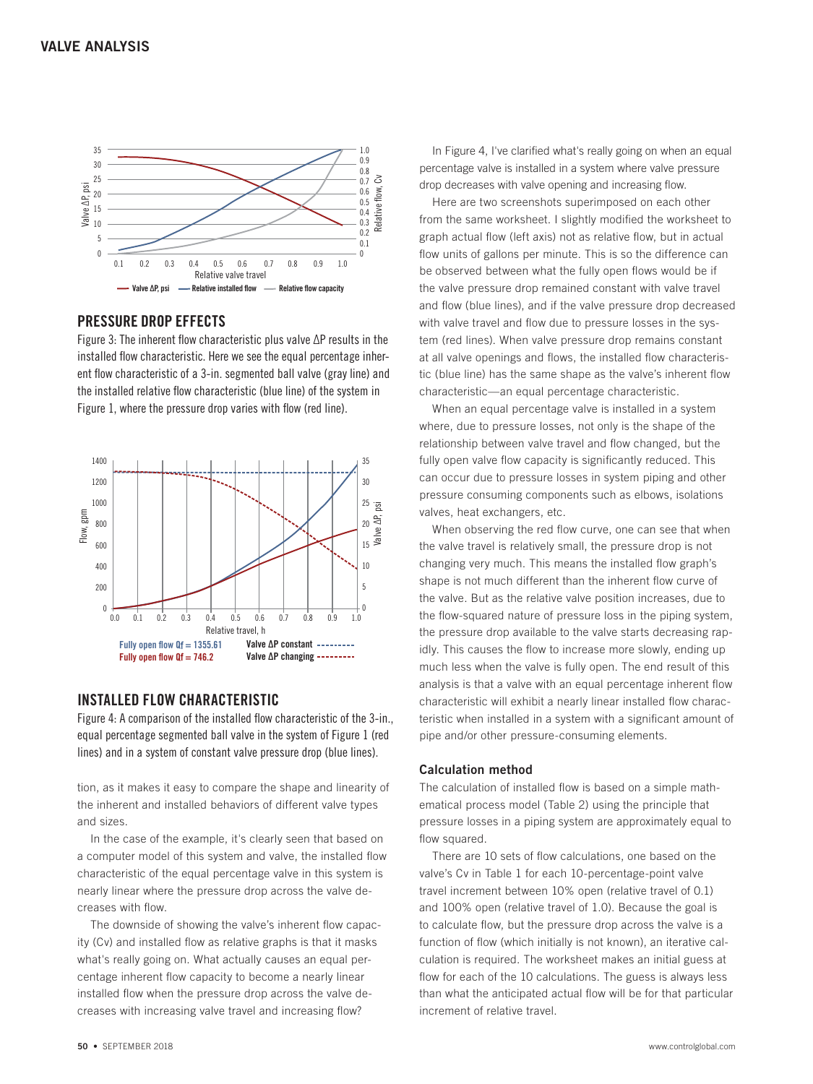

#### PRESSURE DROP EFFECTS

Figure 3: The inherent flow characteristic plus valve ΔP results in the installed flow characteristic. Here we see the equal percentage inherent flow characteristic of a 3-in. segmented ball valve (gray line) and the installed relative flow characteristic (blue line) of the system in



### INSTALLED FLOW CHARACTERISTIC

Figure 4: A comparison of the installed flow characteristic of the 3-in., equal percentage segmented ball valve in the system of Figure 1 (red lines) and in a system of constant valve pressure drop (blue lines).

tion, as it makes it easy to compare the shape and linearity of the inherent and installed behaviors of different valve types and sizes.

In the case of the example, it's clearly seen that based on a computer model of this system and valve, the installed flow characteristic of the equal percentage valve in this system is nearly linear where the pressure drop across the valve decreases with flow.

The downside of showing the valve's inherent flow capacity (Cv) and installed flow as relative graphs is that it masks what's really going on. What actually causes an equal percentage inherent flow capacity to become a nearly linear installed flow when the pressure drop across the valve decreases with increasing valve travel and increasing flow?

In Figure 4, I've clarified what's really going on when an equal percentage valve is installed in a system where valve pressure drop decreases with valve opening and increasing flow.

Here are two screenshots superimposed on each other from the same worksheet. I slightly modified the worksheet to graph actual flow (left axis) not as relative flow, but in actual flow units of gallons per minute. This is so the difference can be observed between what the fully open flows would be if the valve pressure drop remained constant with valve travel and flow (blue lines), and if the valve pressure drop decreased with valve travel and flow due to pressure losses in the system (red lines). When valve pressure drop remains constant at all valve openings and flows, the installed flow characteristic (blue line) has the same shape as the valve's inherent flow characteristic—an equal percentage characteristic.

When an equal percentage valve is installed in a system where, due to pressure losses, not only is the shape of the relationship between valve travel and flow changed, but the fully open valve flow capacity is significantly reduced. This can occur due to pressure losses in system piping and other pressure consuming components such as elbows, isolations valves, heat exchangers, etc.

When observing the red flow curve, one can see that when the valve travel is relatively small, the pressure drop is not changing very much. This means the installed flow graph's shape is not much different than the inherent flow curve of the valve. But as the relative valve position increases, due to the flow-squared nature of pressure loss in the piping system, the pressure drop available to the valve starts decreasing rapidly. This causes the flow to increase more slowly, ending up much less when the valve is fully open. The end result of this analysis is that a valve with an equal percentage inherent flow characteristic will exhibit a nearly linear installed flow characteristic when installed in a system with a significant amount of pipe and/or other pressure-consuming elements.

#### **Calculation method**

The calculation of installed flow is based on a simple mathematical process model (Table 2) using the principle that pressure losses in a piping system are approximately equal to flow squared.

There are 10 sets of flow calculations, one based on the valve's Cv in Table 1 for each 10-percentage-point valve travel increment between 10% open (relative travel of 0.1) and 100% open (relative travel of 1.0). Because the goal is to calculate flow, but the pressure drop across the valve is a function of flow (which initially is not known), an iterative calculation is required. The worksheet makes an initial guess at flow for each of the 10 calculations. The guess is always less than what the anticipated actual flow will be for that particular increment of relative travel.